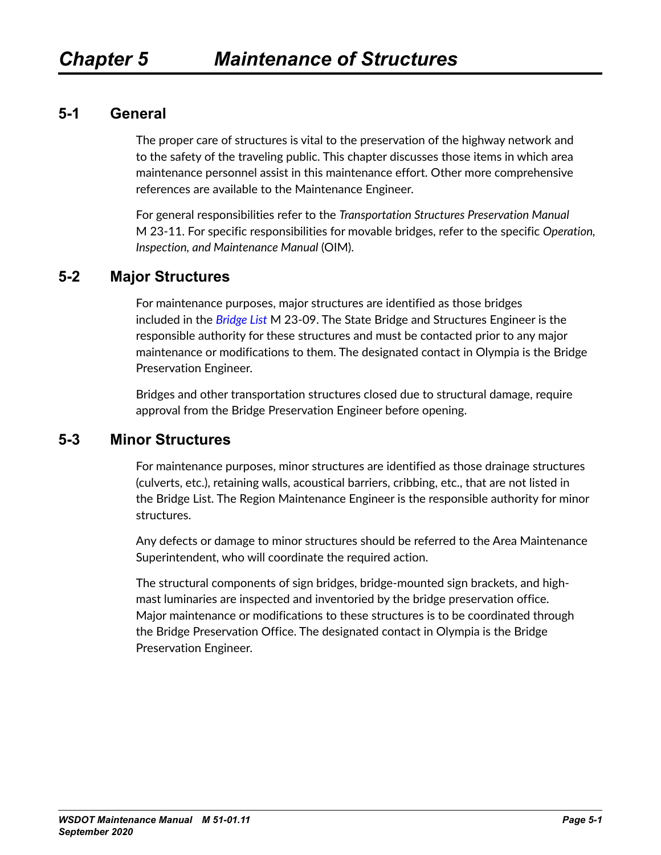### **5-1 General**

The proper care of structures is vital to the preservation of the highway network and to the safety of the traveling public. This chapter discusses those items in which area maintenance personnel assist in this maintenance effort. Other more comprehensive references are available to the Maintenance Engineer.

For general responsibilities refer to the *Transportation Structures Preservation Manual* M 23-11. For specific responsibilities for movable bridges, refer to the specific *Operation, Inspection, and Maintenance Manual* (OIM).

## **5-2 Major Structures**

For maintenance purposes, major structures are identified as those bridges included in the *[Bridge List](https://wsdot.wa.gov/engineering-standards/all-manuals-and-standards/manuals/bridge-list)* M 23-09. The State Bridge and Structures Engineer is the responsible authority for these structures and must be contacted prior to any major maintenance or modifications to them. The designated contact in Olympia is the Bridge Preservation Engineer.

Bridges and other transportation structures closed due to structural damage, require approval from the Bridge Preservation Engineer before opening.

### **5-3 Minor Structures**

For maintenance purposes, minor structures are identified as those drainage structures (culverts, etc.), retaining walls, acoustical barriers, cribbing, etc., that are not listed in the Bridge List. The Region Maintenance Engineer is the responsible authority for minor structures.

Any defects or damage to minor structures should be referred to the Area Maintenance Superintendent, who will coordinate the required action.

The structural components of sign bridges, bridge-mounted sign brackets, and highmast luminaries are inspected and inventoried by the bridge preservation office. Major maintenance or modifications to these structures is to be coordinated through the Bridge Preservation Office. The designated contact in Olympia is the Bridge Preservation Engineer.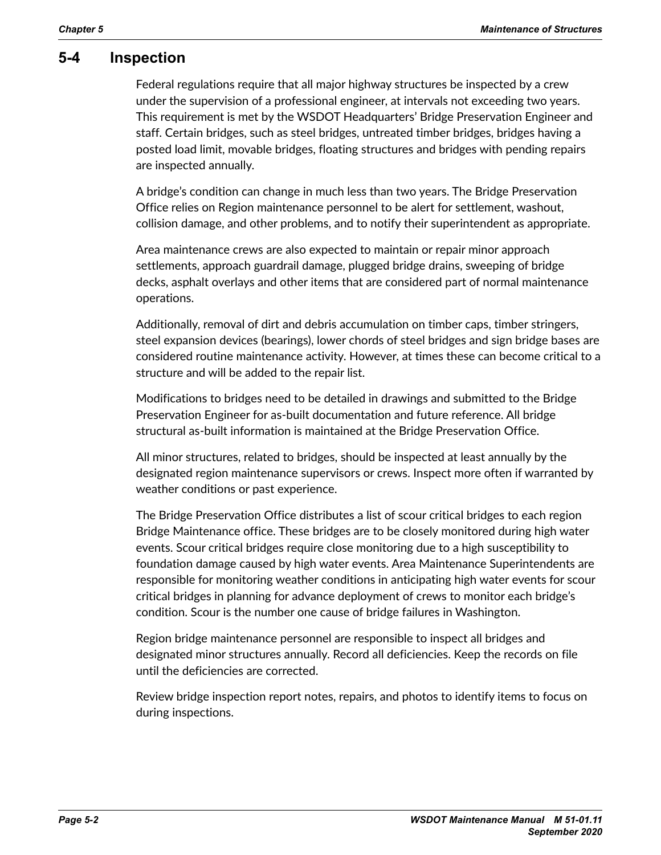### **5-4 Inspection**

Federal regulations require that all major highway structures be inspected by a crew under the supervision of a professional engineer, at intervals not exceeding two years. This requirement is met by the WSDOT Headquarters' Bridge Preservation Engineer and staff. Certain bridges, such as steel bridges, untreated timber bridges, bridges having a posted load limit, movable bridges, floating structures and bridges with pending repairs are inspected annually.

A bridge's condition can change in much less than two years. The Bridge Preservation Office relies on Region maintenance personnel to be alert for settlement, washout, collision damage, and other problems, and to notify their superintendent as appropriate.

Area maintenance crews are also expected to maintain or repair minor approach settlements, approach guardrail damage, plugged bridge drains, sweeping of bridge decks, asphalt overlays and other items that are considered part of normal maintenance operations.

Additionally, removal of dirt and debris accumulation on timber caps, timber stringers, steel expansion devices (bearings), lower chords of steel bridges and sign bridge bases are considered routine maintenance activity. However, at times these can become critical to a structure and will be added to the repair list.

Modifications to bridges need to be detailed in drawings and submitted to the Bridge Preservation Engineer for as-built documentation and future reference. All bridge structural as-built information is maintained at the Bridge Preservation Office.

All minor structures, related to bridges, should be inspected at least annually by the designated region maintenance supervisors or crews. Inspect more often if warranted by weather conditions or past experience.

The Bridge Preservation Office distributes a list of scour critical bridges to each region Bridge Maintenance office. These bridges are to be closely monitored during high water events. Scour critical bridges require close monitoring due to a high susceptibility to foundation damage caused by high water events. Area Maintenance Superintendents are responsible for monitoring weather conditions in anticipating high water events for scour critical bridges in planning for advance deployment of crews to monitor each bridge's condition. Scour is the number one cause of bridge failures in Washington.

Region bridge maintenance personnel are responsible to inspect all bridges and designated minor structures annually. Record all deficiencies. Keep the records on file until the deficiencies are corrected.

Review bridge inspection report notes, repairs, and photos to identify items to focus on during inspections.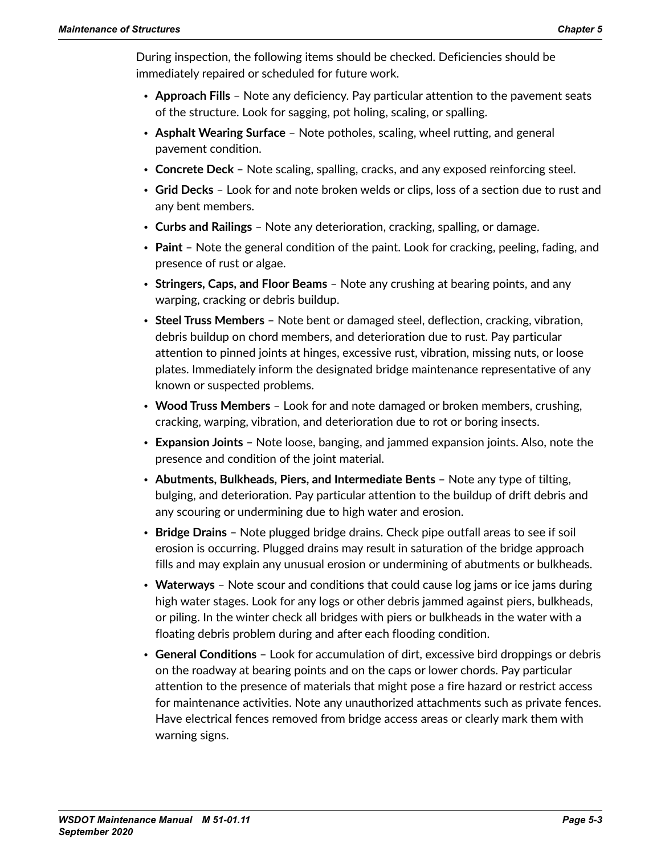During inspection, the following items should be checked. Deficiencies should be immediately repaired or scheduled for future work.

- **Approach Fills** Note any deficiency. Pay particular attention to the pavement seats of the structure. Look for sagging, pot holing, scaling, or spalling.
- **Asphalt Wearing Surface** Note potholes, scaling, wheel rutting, and general pavement condition.
- **Concrete Deck**  Note scaling, spalling, cracks, and any exposed reinforcing steel.
- **Grid Decks** Look for and note broken welds or clips, loss of a section due to rust and any bent members.
- **Curbs and Railings** Note any deterioration, cracking, spalling, or damage.
- **Paint** Note the general condition of the paint. Look for cracking, peeling, fading, and presence of rust or algae.
- **Stringers, Caps, and Floor Beams** Note any crushing at bearing points, and any warping, cracking or debris buildup.
- **Steel Truss Members** Note bent or damaged steel, deflection, cracking, vibration, debris buildup on chord members, and deterioration due to rust. Pay particular attention to pinned joints at hinges, excessive rust, vibration, missing nuts, or loose plates. Immediately inform the designated bridge maintenance representative of any known or suspected problems.
- **Wood Truss Members** Look for and note damaged or broken members, crushing, cracking, warping, vibration, and deterioration due to rot or boring insects.
- **Expansion Joints** Note loose, banging, and jammed expansion joints. Also, note the presence and condition of the joint material.
- **Abutments, Bulkheads, Piers, and Intermediate Bents** Note any type of tilting, bulging, and deterioration. Pay particular attention to the buildup of drift debris and any scouring or undermining due to high water and erosion.
- **Bridge Drains** Note plugged bridge drains. Check pipe outfall areas to see if soil erosion is occurring. Plugged drains may result in saturation of the bridge approach fills and may explain any unusual erosion or undermining of abutments or bulkheads.
- **Waterways** Note scour and conditions that could cause log jams or ice jams during high water stages. Look for any logs or other debris jammed against piers, bulkheads, or piling. In the winter check all bridges with piers or bulkheads in the water with a floating debris problem during and after each flooding condition.
- **General Conditions** Look for accumulation of dirt, excessive bird droppings or debris on the roadway at bearing points and on the caps or lower chords. Pay particular attention to the presence of materials that might pose a fire hazard or restrict access for maintenance activities. Note any unauthorized attachments such as private fences. Have electrical fences removed from bridge access areas or clearly mark them with warning signs.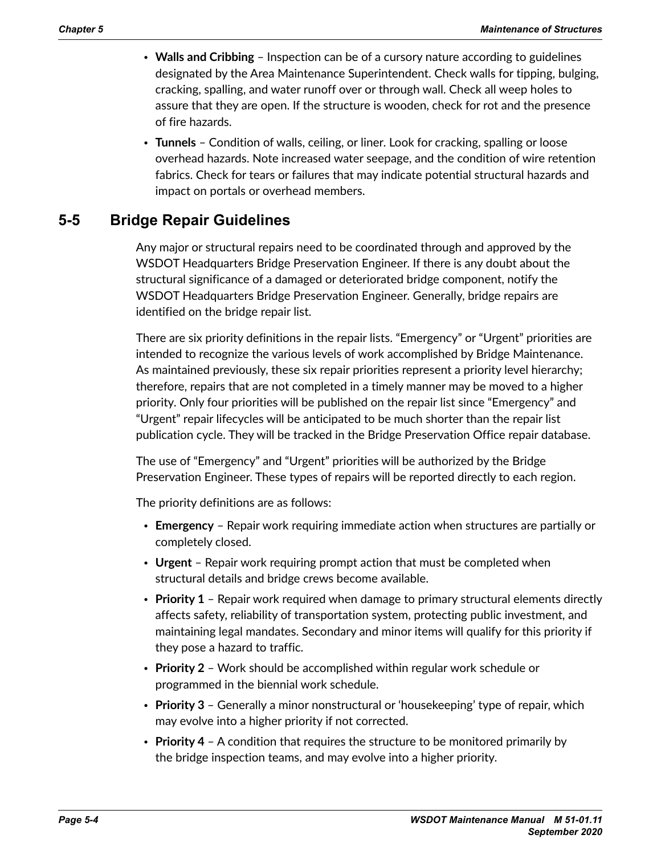- **Walls and Cribbing** Inspection can be of a cursory nature according to guidelines designated by the Area Maintenance Superintendent. Check walls for tipping, bulging, cracking, spalling, and water runoff over or through wall. Check all weep holes to assure that they are open. If the structure is wooden, check for rot and the presence of fire hazards.
- **Tunnels** Condition of walls, ceiling, or liner. Look for cracking, spalling or loose overhead hazards. Note increased water seepage, and the condition of wire retention fabrics. Check for tears or failures that may indicate potential structural hazards and impact on portals or overhead members.

# **5-5 Bridge Repair Guidelines**

Any major or structural repairs need to be coordinated through and approved by the WSDOT Headquarters Bridge Preservation Engineer. If there is any doubt about the structural significance of a damaged or deteriorated bridge component, notify the WSDOT Headquarters Bridge Preservation Engineer. Generally, bridge repairs are identified on the bridge repair list.

There are six priority definitions in the repair lists. "Emergency" or "Urgent" priorities are intended to recognize the various levels of work accomplished by Bridge Maintenance. As maintained previously, these six repair priorities represent a priority level hierarchy; therefore, repairs that are not completed in a timely manner may be moved to a higher priority. Only four priorities will be published on the repair list since "Emergency" and "Urgent" repair lifecycles will be anticipated to be much shorter than the repair list publication cycle. They will be tracked in the Bridge Preservation Office repair database.

The use of "Emergency" and "Urgent" priorities will be authorized by the Bridge Preservation Engineer. These types of repairs will be reported directly to each region.

The priority definitions are as follows:

- **Emergency** Repair work requiring immediate action when structures are partially or completely closed.
- **Urgent** Repair work requiring prompt action that must be completed when structural details and bridge crews become available.
- **Priority 1** Repair work required when damage to primary structural elements directly affects safety, reliability of transportation system, protecting public investment, and maintaining legal mandates. Secondary and minor items will qualify for this priority if they pose a hazard to traffic.
- **Priority 2** Work should be accomplished within regular work schedule or programmed in the biennial work schedule.
- **Priority 3**  Generally a minor nonstructural or 'housekeeping' type of repair, which may evolve into a higher priority if not corrected.
- **Priority 4** A condition that requires the structure to be monitored primarily by the bridge inspection teams, and may evolve into a higher priority.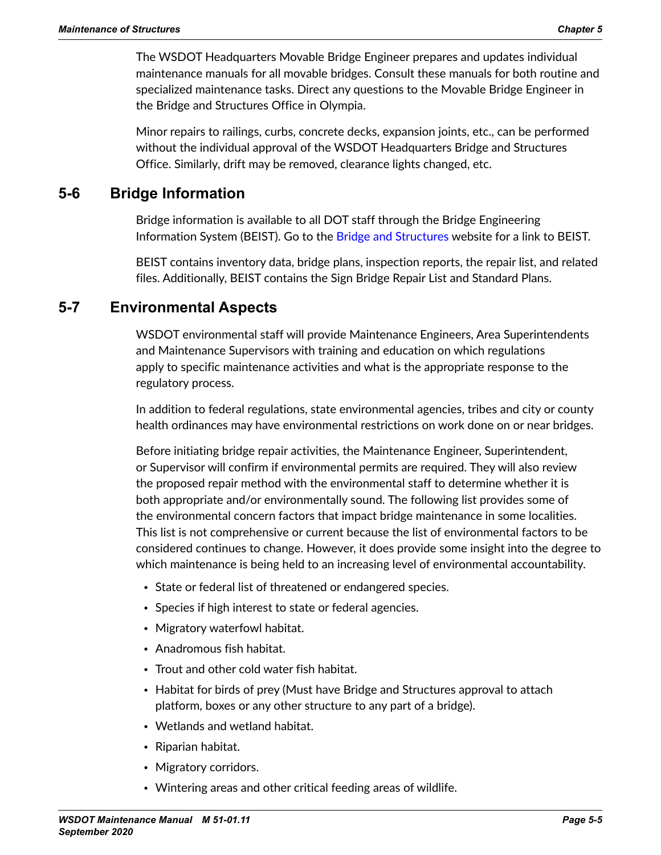The WSDOT Headquarters Movable Bridge Engineer prepares and updates individual maintenance manuals for all movable bridges. Consult these manuals for both routine and specialized maintenance tasks. Direct any questions to the Movable Bridge Engineer in the Bridge and Structures Office in Olympia.

Minor repairs to railings, curbs, concrete decks, expansion joints, etc., can be performed without the individual approval of the WSDOT Headquarters Bridge and Structures Office. Similarly, drift may be removed, clearance lights changed, etc.

# **5-6 Bridge Information**

Bridge information is available to all DOT staff through the Bridge Engineering Information System (BEIST). Go to the [Bridge and Structures](http://wwwi.wsdot.wa.gov/eesc/bridge/index.cfm) website for a link to BEIST.

BEIST contains inventory data, bridge plans, inspection reports, the repair list, and related files. Additionally, BEIST contains the Sign Bridge Repair List and Standard Plans.

# **5-7 Environmental Aspects**

WSDOT environmental staff will provide Maintenance Engineers, Area Superintendents and Maintenance Supervisors with training and education on which regulations apply to specific maintenance activities and what is the appropriate response to the regulatory process.

In addition to federal regulations, state environmental agencies, tribes and city or county health ordinances may have environmental restrictions on work done on or near bridges.

Before initiating bridge repair activities, the Maintenance Engineer, Superintendent, or Supervisor will confirm if environmental permits are required. They will also review the proposed repair method with the environmental staff to determine whether it is both appropriate and/or environmentally sound. The following list provides some of the environmental concern factors that impact bridge maintenance in some localities. This list is not comprehensive or current because the list of environmental factors to be considered continues to change. However, it does provide some insight into the degree to which maintenance is being held to an increasing level of environmental accountability.

- State or federal list of threatened or endangered species.
- Species if high interest to state or federal agencies.
- Migratory waterfowl habitat.
- Anadromous fish habitat.
- Trout and other cold water fish habitat.
- Habitat for birds of prey (Must have Bridge and Structures approval to attach platform, boxes or any other structure to any part of a bridge).
- Wetlands and wetland habitat.
- Riparian habitat.
- Migratory corridors.
- Wintering areas and other critical feeding areas of wildlife.